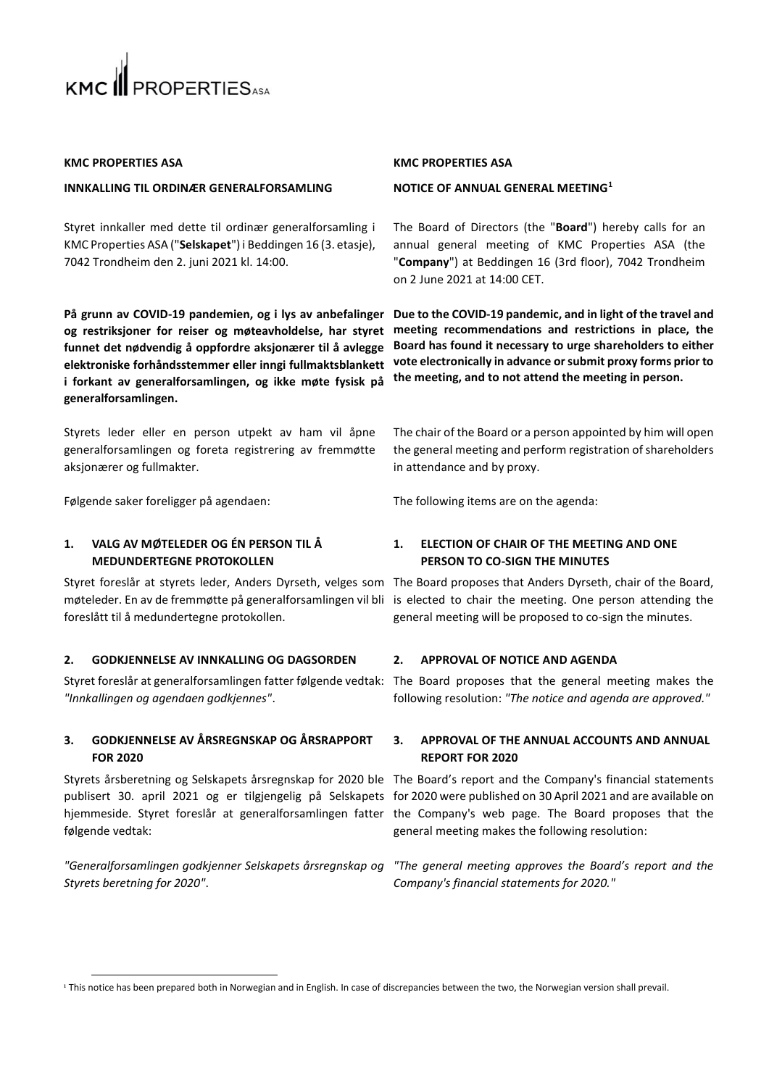

# **KMC PROPERTIES ASA**

### **INNKALLING TIL ORDINÆR GENERALFORSAMLING**

Styret innkaller med dette til ordinær generalforsamling i KMC Properties ASA ("**Selskapet**") i Beddingen 16 (3. etasje), 7042 Trondheim den 2. juni 2021 kl. 14:00.

På grunn av COVID-19 pandemien, og i lys av anbefalinger Due to the COVID-19 pandemic, and in light of the travel and **og restriksjoner for reiser og møteavholdelse, har styret funnet det nødvendig å oppfordre aksjonærer til å avlegge elektroniske forhåndsstemmer eller inngi fullmaktsblankett i forkant av generalforsamlingen, og ikke møte fysisk på generalforsamlingen.** 

Styrets leder eller en person utpekt av ham vil åpne generalforsamlingen og foreta registrering av fremmøtte aksjonærer og fullmakter.

Følgende saker foreligger på agendaen: The following items are on the agenda:

# **1. VALG AV MØTELEDER OG ÉN PERSON TIL Å MEDUNDERTEGNE PROTOKOLLEN**

Styret foreslår at styrets leder, Anders Dyrseth, velges som The Board proposes that Anders Dyrseth, chair of the Board, møteleder. En av de fremmøtte på generalforsamlingen vil bli is elected to chair the meeting. One person attending the foreslått til å medundertegne protokollen.

# **2. GODKJENNELSE AV INNKALLING OG DAGSORDEN 2. APPROVAL OF NOTICE AND AGENDA**

*"Innkallingen og agendaen godkjennes"*.

# **3. GODKJENNELSE AV ÅRSREGNSKAP OG ÅRSRAPPORT FOR 2020**

følgende vedtak:

*"Generalforsamlingen godkjenner Selskapets årsregnskap og Styrets beretning for 2020"*.

### **KMC PROPERTIES ASA**

### **NOTICE OF ANNUAL GENERAL MEETING<sup>1</sup>**

The Board of Directors (the "**Board**") hereby calls for an annual general meeting of KMC Properties ASA (the "**Company**") at Beddingen 16 (3rd floor), 7042 Trondheim on 2 June 2021 at 14:00 CET.

**meeting recommendations and restrictions in place, the Board has found it necessary to urge shareholders to either vote electronically in advance or submit proxy forms prior to the meeting, and to not attend the meeting in person.**

The chair of the Board or a person appointed by him will open the general meeting and perform registration of shareholders in attendance and by proxy.

# **1. ELECTION OF CHAIR OF THE MEETING AND ONE PERSON TO CO-SIGN THE MINUTES**

general meeting will be proposed to co-sign the minutes.

Styret foreslår at generalforsamlingen fatter følgende vedtak: The Board proposes that the general meeting makes the following resolution: *"The notice and agenda are approved."*

# **3. APPROVAL OF THE ANNUAL ACCOUNTS AND ANNUAL REPORT FOR 2020**

Styrets årsberetning og Selskapets årsregnskap for 2020 ble The Board's report and the Company's financial statements publisert 30. april 2021 og er tilgjengelig på Selskapets for 2020 were published on 30 April 2021 and are available on hjemmeside. Styret foreslår at generalforsamlingen fatter the Company's web page. The Board proposes that the general meeting makes the following resolution:

> *"The general meeting approves the Board's report and the Company's financial statements for 2020."*

<sup>&</sup>lt;sup>1</sup> This notice has been prepared both in Norwegian and in English. In case of discrepancies between the two, the Norwegian version shall prevail.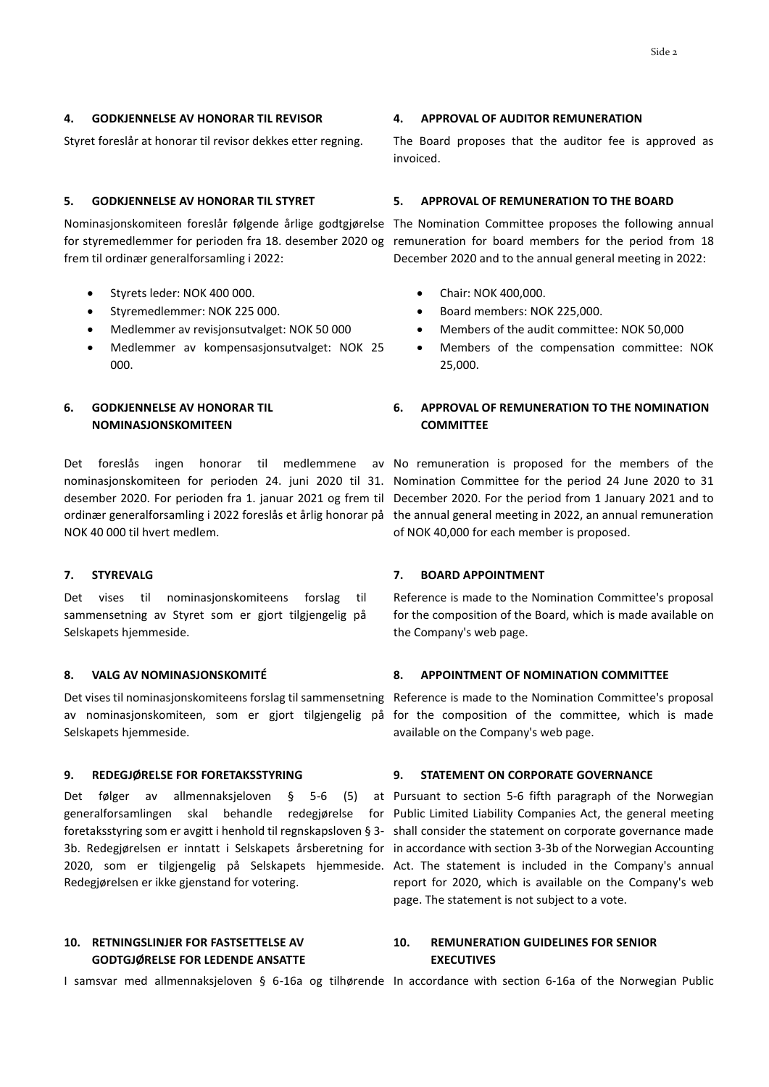# **4. GODKJENNELSE AV HONORAR TIL REVISOR 4. APPROVAL OF AUDITOR REMUNERATION**

Nominasjonskomiteen foreslår følgende årlige godtgjørelse The Nomination Committee proposes the following annual frem til ordinær generalforsamling i 2022:

- Styrets leder: NOK 400 000.
- Styremedlemmer: NOK 225 000.
- Medlemmer av revisjonsutvalget: NOK 50 000
- Medlemmer av kompensasjonsutvalget: NOK 25 000.

# **6. GODKJENNELSE AV HONORAR TIL NOMINASJONSKOMITEEN**

Det foreslås ingen honorar til medlemmene av No remuneration is proposed for the members of the NOK 40 000 til hvert medlem.

Det vises til nominasjonskomiteens forslag til sammensetning av Styret som er gjort tilgjengelig på Selskapets hjemmeside.

Selskapets hjemmeside.

Det følger av allmennaksjeloven § 5-6 (5) at Pursuant to section 5-6 fifth paragraph of the Norwegian Redegjørelsen er ikke gjenstand for votering.

# **10. RETNINGSLINJER FOR FASTSETTELSE AV GODTGJØRELSE FOR LEDENDE ANSATTE**

Styret foreslår at honorar til revisor dekkes etter regning. The Board proposes that the auditor fee is approved as invoiced.

### **5. GODKJENNELSE AV HONORAR TIL STYRET 5. APPROVAL OF REMUNERATION TO THE BOARD**

for styremedlemmer for perioden fra 18. desember 2020 og remuneration for board members for the period from 18 December 2020 and to the annual general meeting in 2022:

- Chair: NOK 400,000.
- Board members: NOK 225,000.
- Members of the audit committee: NOK 50,000
- Members of the compensation committee: NOK 25,000.

# **6. APPROVAL OF REMUNERATION TO THE NOMINATION COMMITTEE**

nominasjonskomiteen for perioden 24. juni 2020 til 31. Nomination Committee for the period 24 June 2020 to 31 desember 2020. For perioden fra 1. januar 2021 og frem til December 2020. For the period from 1 January 2021 and to ordinær generalforsamling i 2022 foreslås et årlig honorar på the annual general meeting in 2022, an annual remuneration of NOK 40,000 for each member is proposed.

### **7. STYREVALG 7. BOARD APPOINTMENT**

Reference is made to the Nomination Committee's proposal for the composition of the Board, which is made available on the Company's web page.

# **8. VALG AV NOMINASJONSKOMITÉ 8. APPOINTMENT OF NOMINATION COMMITTEE**

Det vises til nominasjonskomiteens forslag til sammensetning Reference is made to the Nomination Committee's proposal av nominasjonskomiteen, som er gjort tilgjengelig på for the composition of the committee, which is made available on the Company's web page.

### **9. REDEGJØRELSE FOR FORETAKSSTYRING 9. STATEMENT ON CORPORATE GOVERNANCE**

generalforsamlingen skal behandle redegjørelse for Public Limited Liability Companies Act, the general meeting foretaksstyring som er avgitt i henhold til regnskapsloven § 3- shall consider the statement on corporate governance made 3b. Redegjørelsen er inntatt i Selskapets årsberetning for in accordance with section 3-3b of the Norwegian Accounting 2020, som er tilgjengelig på Selskapets hjemmeside. Act. The statement is included in the Company's annual report for 2020, which is available on the Company's web page. The statement is not subject to a vote.

# **10. REMUNERATION GUIDELINES FOR SENIOR EXECUTIVES**

I samsvar med allmennaksjeloven § 6-16a og tilhørende In accordance with section 6-16a of the Norwegian Public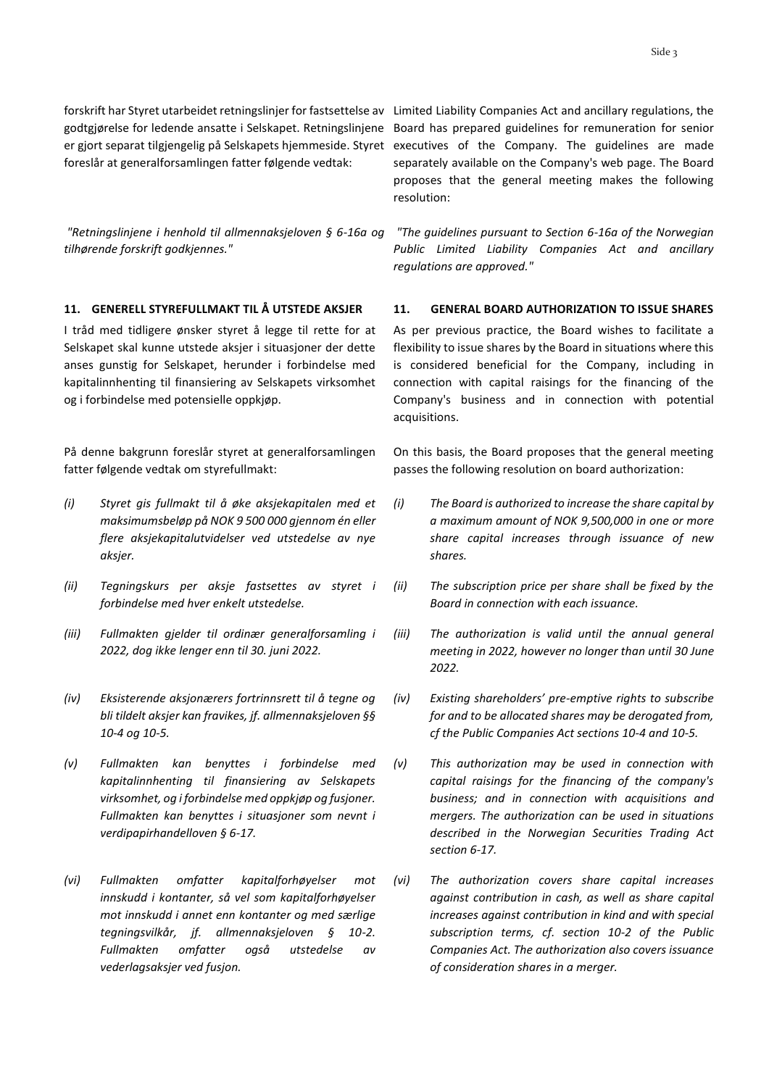forskrift har Styret utarbeidet retningslinjer for fastsettelse av Limited Liability Companies Act and ancillary regulations, the godtgjørelse for ledende ansatte i Selskapet. Retningslinjene foreslår at generalforsamlingen fatter følgende vedtak:

*"Retningslinjene i henhold til allmennaksjeloven § 6-16a og tilhørende forskrift godkjennes."*

I tråd med tidligere ønsker styret å legge til rette for at Selskapet skal kunne utstede aksjer i situasjoner der dette anses gunstig for Selskapet, herunder i forbindelse med kapitalinnhenting til finansiering av Selskapets virksomhet og i forbindelse med potensielle oppkjøp.

På denne bakgrunn foreslår styret at generalforsamlingen fatter følgende vedtak om styrefullmakt:

- *(i) Styret gis fullmakt til å øke aksjekapitalen med et maksimumsbeløp på NOK 9 500 000 gjennom én eller flere aksjekapitalutvidelser ved utstedelse av nye aksjer.*
- *(ii) Tegningskurs per aksje fastsettes av styret i forbindelse med hver enkelt utstedelse.*
- *(iii) Fullmakten gjelder til ordinær generalforsamling i 2022, dog ikke lenger enn til 30. juni 2022.*
- *(iv) Eksisterende aksjonærers fortrinnsrett til å tegne og bli tildelt aksjer kan fravikes, jf. allmennaksjeloven §§ 10-4 og 10-5.*
- *(v) Fullmakten kan benyttes i forbindelse med kapitalinnhenting til finansiering av Selskapets virksomhet, og i forbindelse med oppkjøp og fusjoner. Fullmakten kan benyttes i situasjoner som nevnt i verdipapirhandelloven § 6-17.*
- *(vi) Fullmakten omfatter kapitalforhøyelser mot innskudd i kontanter, så vel som kapitalforhøyelser mot innskudd i annet enn kontanter og med særlige tegningsvilkår, jf. allmennaksjeloven § 10-2. Fullmakten omfatter også utstedelse av vederlagsaksjer ved fusjon.*

er gjort separat tilgjengelig på Selskapets hjemmeside. Styret executives of the Company. The guidelines are made Board has prepared guidelines for remuneration for senior separately available on the Company's web page. The Board proposes that the general meeting makes the following resolution:

> *"The guidelines pursuant to Section 6-16a of the Norwegian Public Limited Liability Companies Act and ancillary regulations are approved."*

#### **11. GENERELL STYREFULLMAKT TIL Å UTSTEDE AKSJER 11. GENERAL BOARD AUTHORIZATION TO ISSUE SHARES**

As per previous practice, the Board wishes to facilitate a flexibility to issue shares by the Board in situations where this is considered beneficial for the Company, including in connection with capital raisings for the financing of the Company's business and in connection with potential acquisitions.

On this basis, the Board proposes that the general meeting passes the following resolution on board authorization:

- *(i) The Board is authorized to increase the share capital by a maximum amount of NOK 9,500,000 in one or more share capital increases through issuance of new shares.*
- *(ii) The subscription price per share shall be fixed by the Board in connection with each issuance.*
- *(iii) The authorization is valid until the annual general meeting in 2022, however no longer than until 30 June 2022.*
- *(iv) Existing shareholders' pre-emptive rights to subscribe for and to be allocated shares may be derogated from, cf the Public Companies Act sections 10-4 and 10-5.*
- *(v) This authorization may be used in connection with capital raisings for the financing of the company's business; and in connection with acquisitions and mergers. The authorization can be used in situations described in the Norwegian Securities Trading Act section 6-17.*
- *(vi) The authorization covers share capital increases against contribution in cash, as well as share capital increases against contribution in kind and with special subscription terms, cf. section 10-2 of the Public Companies Act. The authorization also covers issuance of consideration shares in a merger.*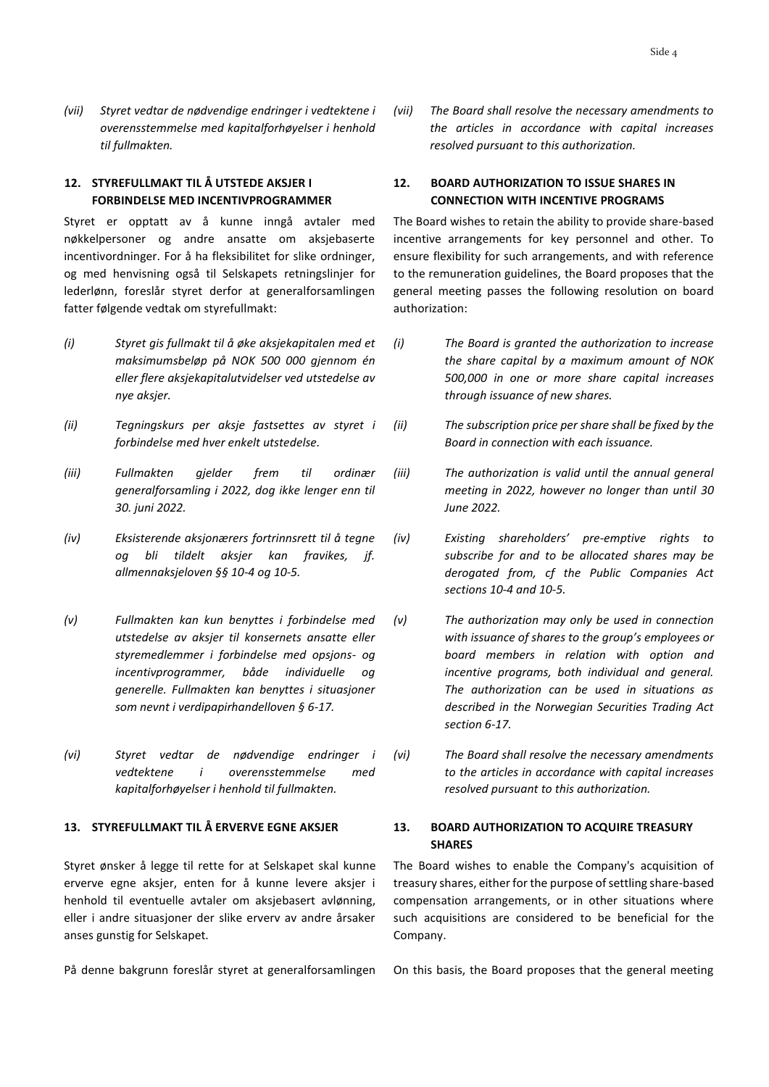*(vii) Styret vedtar de nødvendige endringer i vedtektene i overensstemmelse med kapitalforhøyelser i henhold til fullmakten.* 

# **12. STYREFULLMAKT TIL Å UTSTEDE AKSJER I FORBINDELSE MED INCENTIVPROGRAMMER**

Styret er opptatt av å kunne inngå avtaler med nøkkelpersoner og andre ansatte om aksjebaserte incentivordninger. For å ha fleksibilitet for slike ordninger, og med henvisning også til Selskapets retningslinjer for lederlønn, foreslår styret derfor at generalforsamlingen fatter følgende vedtak om styrefullmakt:

- *(i) Styret gis fullmakt til å øke aksjekapitalen med et maksimumsbeløp på NOK 500 000 gjennom én eller flere aksjekapitalutvidelser ved utstedelse av nye aksjer.*
- *(ii) Tegningskurs per aksje fastsettes av styret i forbindelse med hver enkelt utstedelse.*
- *(iii) Fullmakten gjelder frem til ordinær generalforsamling i 2022, dog ikke lenger enn til 30. juni 2022.*
- *(iv) Eksisterende aksjonærers fortrinnsrett til å tegne og bli tildelt aksjer kan fravikes, jf. allmennaksjeloven §§ 10-4 og 10-5.*
- *(v) Fullmakten kan kun benyttes i forbindelse med utstedelse av aksjer til konsernets ansatte eller styremedlemmer i forbindelse med opsjons- og incentivprogrammer, både individuelle og generelle. Fullmakten kan benyttes i situasjoner som nevnt i verdipapirhandelloven § 6-17.*
- *(vi) Styret vedtar de nødvendige endringer i vedtektene i overensstemmelse med kapitalforhøyelser i henhold til fullmakten.*

# **13. STYREFULLMAKT TIL Å ERVERVE EGNE AKSJER 13. BOARD AUTHORIZATION TO ACQUIRE TREASURY**

Styret ønsker å legge til rette for at Selskapet skal kunne erverve egne aksjer, enten for å kunne levere aksjer i henhold til eventuelle avtaler om aksjebasert avlønning, eller i andre situasjoner der slike erverv av andre årsaker anses gunstig for Selskapet.

*(vii) The Board shall resolve the necessary amendments to the articles in accordance with capital increases resolved pursuant to this authorization.* 

# **12. BOARD AUTHORIZATION TO ISSUE SHARES IN CONNECTION WITH INCENTIVE PROGRAMS**

The Board wishes to retain the ability to provide share-based incentive arrangements for key personnel and other. To ensure flexibility for such arrangements, and with reference to the remuneration guidelines, the Board proposes that the general meeting passes the following resolution on board authorization:

- *(i) The Board is granted the authorization to increase the share capital by a maximum amount of NOK 500,000 in one or more share capital increases through issuance of new shares.*
- *(ii) The subscription price per share shall be fixed by the Board in connection with each issuance.*
- *(iii) The authorization is valid until the annual general meeting in 2022, however no longer than until 30 June 2022.*
- *(iv) Existing shareholders' pre-emptive rights to subscribe for and to be allocated shares may be derogated from, cf the Public Companies Act sections 10-4 and 10-5.*
- *(v) The authorization may only be used in connection with issuance of shares to the group's employees or board members in relation with option and incentive programs, both individual and general. The authorization can be used in situations as described in the Norwegian Securities Trading Act section 6-17.*
- *(vi) The Board shall resolve the necessary amendments to the articles in accordance with capital increases resolved pursuant to this authorization.*

# **SHARES**

The Board wishes to enable the Company's acquisition of treasury shares, either for the purpose of settling share-based compensation arrangements, or in other situations where such acquisitions are considered to be beneficial for the Company.

På denne bakgrunn foreslår styret at generalforsamlingen On this basis, the Board proposes that the general meeting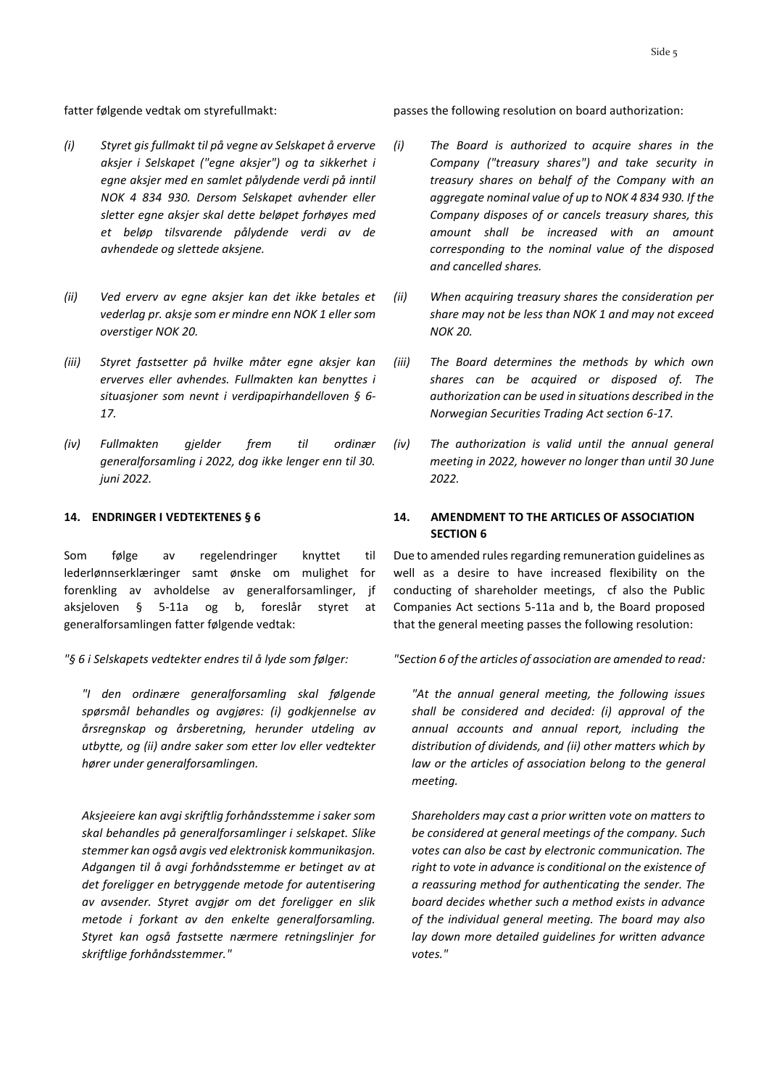- *(i) Styret gis fullmakt til på vegne av Selskapet å erverve aksjer i Selskapet ("egne aksjer") og ta sikkerhet i egne aksjer med en samlet pålydende verdi på inntil NOK 4 834 930. Dersom Selskapet avhender eller sletter egne aksjer skal dette beløpet forhøyes med et beløp tilsvarende pålydende verdi av de avhendede og slettede aksjene.*
- *(ii) Ved erverv av egne aksjer kan det ikke betales et vederlag pr. aksje som er mindre enn NOK 1 eller som overstiger NOK 20.*
- *(iii) Styret fastsetter på hvilke måter egne aksjer kan erverves eller avhendes. Fullmakten kan benyttes i situasjoner som nevnt i verdipapirhandelloven § 6- 17.*
- *(iv) Fullmakten gjelder frem til ordinær generalforsamling i 2022, dog ikke lenger enn til 30. juni 2022.*

Som følge av regelendringer knyttet til lederlønnserklæringer samt ønske om mulighet for forenkling av avholdelse av generalforsamlinger, jf aksjeloven § 5-11a og b, foreslår styret at generalforsamlingen fatter følgende vedtak:

#### *"§ 6 i Selskapets vedtekter endres til å lyde som følger:*

*"I den ordinære generalforsamling skal følgende spørsmål behandles og avgjøres: (i) godkjennelse av årsregnskap og årsberetning, herunder utdeling av utbytte, og (ii) andre saker som etter lov eller vedtekter hører under generalforsamlingen.*

*Aksjeeiere kan avgi skriftlig forhåndsstemme i saker som skal behandles på generalforsamlinger i selskapet. Slike stemmer kan også avgis ved elektronisk kommunikasjon. Adgangen til å avgi forhåndsstemme er betinget av at det foreligger en betryggende metode for autentisering av avsender. Styret avgjør om det foreligger en slik metode i forkant av den enkelte generalforsamling. Styret kan også fastsette nærmere retningslinjer for skriftlige forhåndsstemmer."*

fatter følgende vedtak om styrefullmakt: passes the following resolution on board authorization:

- *(i) The Board is authorized to acquire shares in the Company ("treasury shares") and take security in treasury shares on behalf of the Company with an aggregate nominal value of up to NOK 4 834 930. If the Company disposes of or cancels treasury shares, this amount shall be increased with an amount corresponding to the nominal value of the disposed and cancelled shares.*
- *(ii) When acquiring treasury shares the consideration per share may not be less than NOK 1 and may not exceed NOK 20.*
- *(iii) The Board determines the methods by which own shares can be acquired or disposed of. The authorization can be used in situations described in the Norwegian Securities Trading Act section 6-17.*
- *(iv) The authorization is valid until the annual general meeting in 2022, however no longer than until 30 June 2022.*

# **14. ENDRINGER I VEDTEKTENES § 6 14. AMENDMENT TO THE ARTICLES OF ASSOCIATION SECTION 6**

Due to amended rules regarding remuneration guidelines as well as a desire to have increased flexibility on the conducting of shareholder meetings, cf also the Public Companies Act sections 5-11a and b, the Board proposed that the general meeting passes the following resolution:

*"Section 6 of the articles of association are amended to read:*

*"At the annual general meeting, the following issues shall be considered and decided: (i) approval of the annual accounts and annual report, including the distribution of dividends, and (ii) other matters which by law or the articles of association belong to the general meeting.*

*Shareholders may cast a prior written vote on matters to be considered at general meetings of the company. Such votes can also be cast by electronic communication. The right to vote in advance is conditional on the existence of a reassuring method for authenticating the sender. The board decides whether such a method exists in advance of the individual general meeting. The board may also lay down more detailed guidelines for written advance votes."*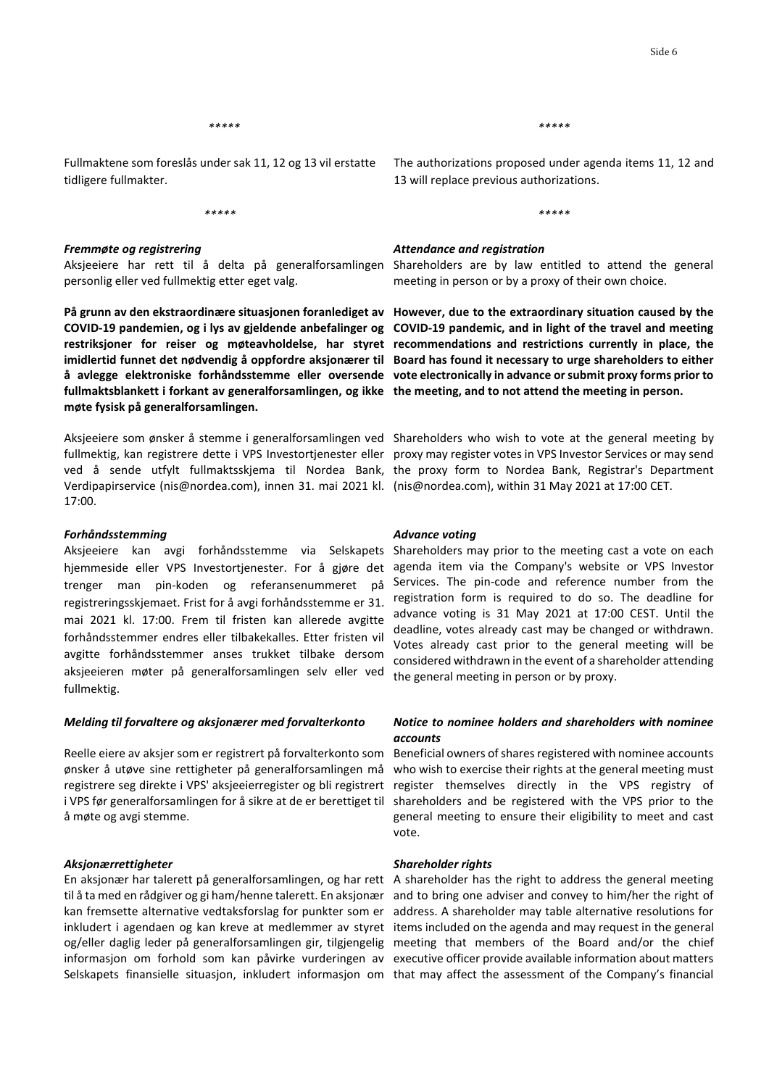Fullmaktene som foreslås under sak 11, 12 og 13 vil erstatte tidligere fullmakter.

*\*\*\*\*\**

#### *Fremmøte og registrering*

personlig eller ved fullmektig etter eget valg.

**På grunn av den ekstraordinære situasjonen foranlediget av However, due to the extraordinary situation caused by the fullmaktsblankett i forkant av generalforsamlingen, og ikke the meeting, and to not attend the meeting in person. møte fysisk på generalforsamlingen.** 

fullmektig, kan registrere dette i VPS Investortjenester eller proxy may register votes in VPS Investor Services or may send ved å sende utfylt fullmaktsskjema til Nordea Bank, the proxy form to Nordea Bank, Registrar's Department Verdipapirservice (nis@nordea.com), innen 31. mai 2021 kl. (nis@nordea.com), within 31 May 2021 at 17:00 CET. 17:00.

#### *Forhåndsstemming*

Aksjeeiere kan avgi forhåndsstemme via Selskapets hjemmeside eller VPS Investortjenester. For å gjøre det agenda item via the Company's website or VPS Investor trenger man pin-koden og referansenummeret på registreringsskjemaet. Frist for å avgi forhåndsstemme er 31. mai 2021 kl. 17:00. Frem til fristen kan allerede avgitte forhåndsstemmer endres eller tilbakekalles. Etter fristen vil avgitte forhåndsstemmer anses trukket tilbake dersom aksjeeieren møter på generalforsamlingen selv eller ved fullmektig.

#### *Melding til forvaltere og aksjonærer med forvalterkonto*

Reelle eiere av aksjer som er registrert på forvalterkonto som ønsker å utøve sine rettigheter på generalforsamlingen må registrere seg direkte i VPS' aksjeeierregister og bli registrert å møte og avgi stemme.

#### *Aksjonærrettigheter*

*\*\*\*\*\* \*\*\*\*\**

The authorizations proposed under agenda items 11, 12 and 13 will replace previous authorizations.

*\*\*\*\*\**

#### *Attendance and registration*

Aksjeeiere har rett til å delta på generalforsamlingen Shareholders are by law entitled to attend the general meeting in person or by a proxy of their own choice.

COVID-19 pandemien, og i lys av gjeldende anbefalinger og COVID-19 pandemic, and in light of the travel and meeting **restriksjoner for reiser og møteavholdelse, har styret recommendations and restrictions currently in place, the imidlertid funnet det nødvendig å oppfordre aksjonærer til Board has found it necessary to urge shareholders to either å avlegge elektroniske forhåndsstemme eller oversende vote electronically in advance or submit proxy forms prior to** 

Aksjeeiere som ønsker å stemme i generalforsamlingen ved Shareholders who wish to vote at the general meeting by

#### *Advance voting*

Shareholders may prior to the meeting cast a vote on each Services. The pin-code and reference number from the registration form is required to do so. The deadline for advance voting is 31 May 2021 at 17:00 CEST. Until the deadline, votes already cast may be changed or withdrawn. Votes already cast prior to the general meeting will be considered withdrawn in the event of a shareholder attending the general meeting in person or by proxy.

# *Notice to nominee holders and shareholders with nominee accounts*

i VPS før generalforsamlingen for å sikre at de er berettiget til shareholders and be registered with the VPS prior to the Beneficial owners of shares registered with nominee accounts who wish to exercise their rights at the general meeting must register themselves directly in the VPS registry of general meeting to ensure their eligibility to meet and cast vote.

#### *Shareholder rights*

En aksjonær har talerett på generalforsamlingen, og har rett A shareholder has the right to address the general meeting til å ta med en rådgiver og gi ham/henne talerett. En aksjonær and to bring one adviser and convey to him/her the right of kan fremsette alternative vedtaksforslag for punkter som er address. A shareholder may table alternative resolutions for inkludert i agendaen og kan kreve at medlemmer av styret items included on the agenda and may request in the general og/eller daglig leder på generalforsamlingen gir, tilgjengelig meeting that members of the Board and/or the chief informasjon om forhold som kan påvirke vurderingen av executive officer provide available information about matters Selskapets finansielle situasjon, inkludert informasjon om that may affect the assessment of the Company's financial